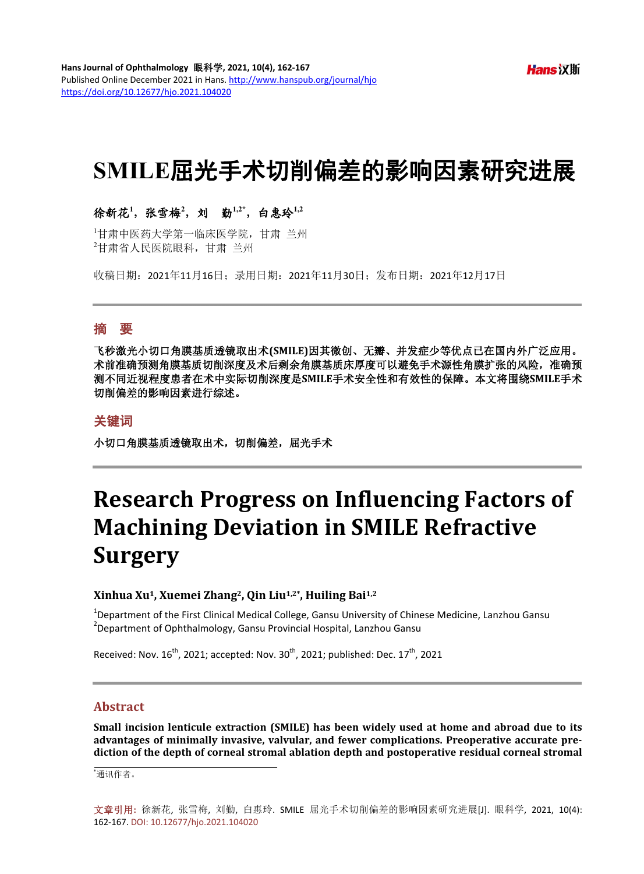# **SMILE**屈光手术切削偏差的影响因素研究进展

## 徐新花<sup>1</sup>,张雪梅<sup>2</sup>,刘 勤<sup>1,2\*</sup>,白惠玲<sup>1,2</sup>

1 甘肃中医药大学第一临床医学院,甘肃 兰州 2 甘肃省人民医院眼科,甘肃 兰州

收稿日期:2021年11月16日;录用日期:2021年11月30日;发布日期:2021年12月17日

### 摘 要

飞秒激光小切口角膜基质透镜取出术**(SMILE)**因其微创、无瓣、并发症少等优点已在国内外广泛应用。 术前准确预测角膜基质切削深度及术后剩余角膜基质床厚度可以避免手术源性角膜扩张的风险,准确预 测不同近视程度患者在术中实际切削深度是**SMILE**手术安全性和有效性的保障。本文将围绕**SMILE**手术 切削偏差的影响因素进行综述。

## 关键词

小切口角膜基质透镜取出术,切削偏差,屈光手术

# **Research Progress on Influencing Factors of Machining Deviation in SMILE Refractive Surgery**

### **Xinhua Xu1, Xuemei Zhang2, Qin Liu1,2\*, Huiling Bai1,2**

<sup>1</sup>Department of the First Clinical Medical College, Gansu University of Chinese Medicine, Lanzhou Gansu<br><sup>2</sup>Department of Ophthalmalagy, Cansu Provincial Uscaital, Lanzhou Cansu <sup>2</sup> Department of Ophthalmology, Gansu Provincial Hospital, Lanzhou Gansu

Received: Nov.  $16^{th}$ , 2021; accepted: Nov.  $30^{th}$ , 2021; published: Dec.  $17^{th}$ , 2021

## **Abstract**

**Small incision lenticule extraction (SMILE) has been widely used at home and abroad due to its advantages of minimally invasive, valvular, and fewer complications. Preoperative accurate prediction of the depth of corneal stromal ablation depth and postoperative residual corneal stromal** 

\* 通讯作者。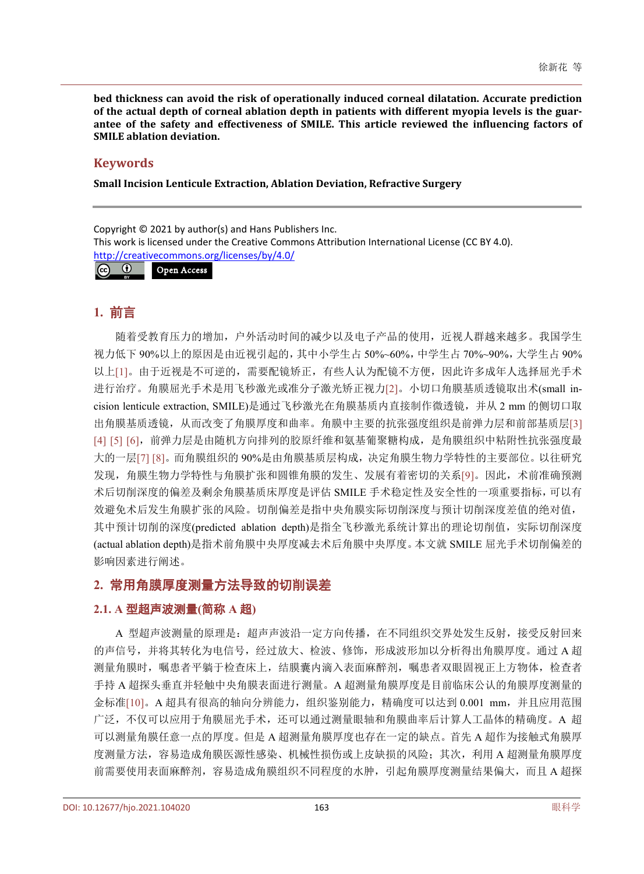**bed thickness can avoid the risk of operationally induced corneal dilatation. Accurate prediction of the actual depth of corneal ablation depth in patients with different myopia levels is the guarantee of the safety and effectiveness of SMILE. This article reviewed the influencing factors of SMILE ablation deviation.**

## **Keywords**

**Small Incision Lenticule Extraction, Ablation Deviation, Refractive Surgery**

Copyright © 2021 by author(s) and Hans Publishers Inc.

This work is licensed under the Creative Commons Attribution International License (CC BY 4.0).

<http://creativecommons.org/licenses/by/4.0/>

 $\boxed{6}$ Open Access

# **1.** 前言

随着受教育压力的增加,户外活动时间的减少以及电子产品的使用,近视人群越来越多。我国学生 视力低下 90%以上的原因是由近视引起的,其中小学生占 50%~60%,中学生占 70%~90%,大学生占 90% 以上[\[1\]](#page-4-0)。由于近视是不可逆的,需要配镜矫正,有些人认为配镜不方便,因此许多成年人选择屈光手术 进行治疗。角膜屈光手术是用飞秒激光或准分子激光矫正视力[\[2\]](#page-4-1)。小切口角膜基质透镜取出术(small incision lenticule extraction, SMILE)是通过飞秒激光在角膜基质内直接制作微透镜,并从 2 mm 的侧切口取 出角膜基质透镜,从而改变了角膜厚度和曲率。角膜中主要的抗张强度组织是前弹力层和前部基质层[\[3\]](#page-4-2) [\[4\]](#page-4-3) [\[5\]](#page-4-4) [\[6\]](#page-4-5),前弹力层是由随机方向排列的胶原纤维和氨基葡聚糖构成,是角膜组织中粘附性抗张强度最 大的一层[\[7\]](#page-4-6) [\[8\]](#page-4-7)。而角膜组织的 90%是由角膜基质层构成,决定角膜生物力学特性的主要部位。以往研究 发现,角膜生物力学特性与角膜扩张和圆锥角膜的发生、发展有着密切的关系[\[9\]](#page-4-8)。因此,术前准确预测 术后切削深度的偏差及剩余角膜基质床厚度是评估 SMILE 手术稳定性及安全性的一项重要指标,可以有 效避免术后发生角膜扩张的风险。切削偏差是指中央角膜实际切削深度与预计切削深度差值的绝对值, 其中预计切削的深度(predicted ablation depth)是指全飞秒激光系统计算出的理论切削值,实际切削深度 (actual ablation depth)是指术前角膜中央厚度减去术后角膜中央厚度。本文就 SMILE 屈光手术切削偏差的 影响因素进行阐述。

# **2.** 常用角膜厚度测量方法导致的切削误差

## **2.1. A** 型超声波测量**(**简称 **A** 超**)**

A 型超声波测量的原理是:超声声波沿一定方向传播,在不同组织交界处发生反射,接受反射回来 的声信号,并将其转化为电信号,经过放大、检波、修饰,形成波形加以分析得出角膜厚度。通过 A 超 测量角膜时,嘱患者平躺于检查床上,结膜囊内滴入表面麻醉剂,嘱患者双眼固视正上方物体,检查者 手持 A 超探头垂直并轻触中央角膜表面进行测量。A 超测量角膜厚度是目前临床公认的角膜厚度测量的 金标准[\[10\]](#page-4-9)。A 超具有很高的轴向分辨能力,组织鉴别能力,精确度可以达到 0.001 mm,并且应用范围 广泛,不仅可以应用于角膜屈光手术,还可以通过测量眼轴和角膜曲率后计算人工晶体的精确度。A 超 可以测量角膜任意一点的厚度。但是 A 超测量角膜厚度也存在一定的缺点。首先 A 超作为接触式角膜厚 度测量方法, 容易造成角膜医源性感染、机械性损伤或上皮缺损的风险;其次,利用 A 超测量角膜厚度 前需要使用表面麻醉剂,容易造成角膜组织不同程度的水肿,引起角膜厚度测量结果偏大,而且 A 超探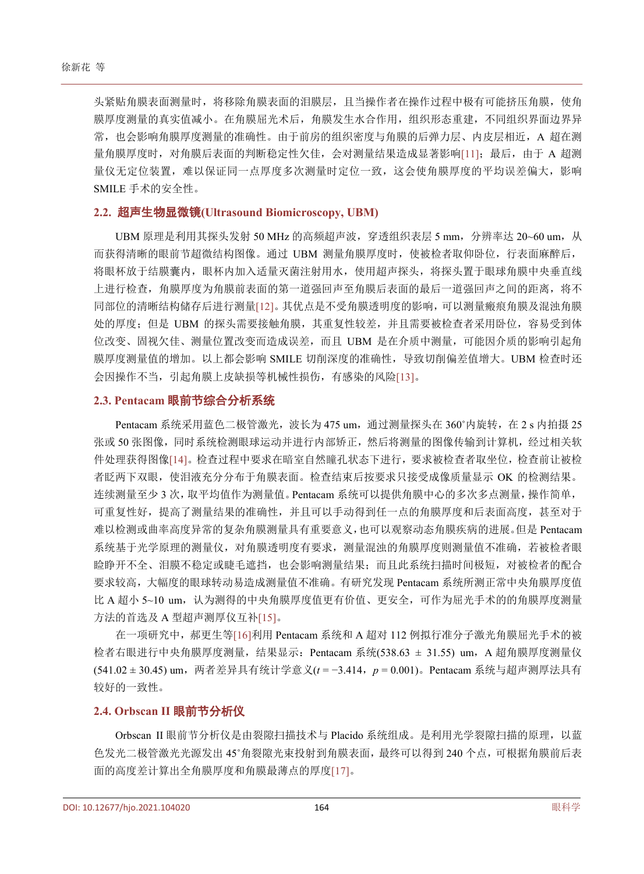头紧贴角膜表面测量时,将移除角膜表面的泪膜层,且当操作者在操作过程中极有可能挤压角膜,使角 膜厚度测量的真实值减小。在角膜屈光术后,角膜发生水合作用,组织形态重建,不同组织界面边界异 常,也会影响角膜厚度测量的准确性。由于前房的组织密度与角膜的后弹力层、内皮层相近, A 超在测 量角膜厚度时,对角膜后表面的判断稳定性欠佳,会对测量结果造成显著影响[\[11\]](#page-5-0);最后,由于 A 超测 量仪无定位装置,难以保证同一点厚度多次测量时定位一致,这会使角膜厚度的平均误差偏大,影响 SMILE 手术的安全性。

#### **2.2.** 超声生物显微镜**(Ultrasound Biomicroscopy, UBM)**

UBM 原理是利用其探头发射 50 MHz 的高频超声波, 穿透组织表层 5 mm, 分辨率达 20~60 um, 从 而获得清晰的眼前节超微结构图像。通过 UBM 测量角膜厚度时,使被检者取仰卧位,行表面麻醉后, 将眼杯放于结膜囊内,眼杯内加入适量灭菌注射用水,使用超声探头,将探头置于眼球角膜中央垂直线 上进行检查,角膜厚度为角膜前表面的第一道强回声至角膜后表面的最后一道强回声之间的距离,将不 同部位的清晰结构储存后进行测量[\[12\]](#page-5-1)。其优点是不受角膜透明度的影响,可以测量瘢痕角膜及混浊角膜 处的厚度; 但是 UBM 的探头需要接触角膜, 其重复性较差, 并且需要被检查者采用卧位, 容易受到体 位改变、固视欠佳、测量位置改变而造成误差,而且 UBM 是在介质中测量,可能因介质的影响引起角 膜厚度测量值的增加。以上都会影响 SMILE 切削深度的准确性,导致切削偏差值增大。UBM 检查时还 会因操作不当,引起角膜上皮缺损等机械性损伤,有感染的风险[\[13\]](#page-5-2)。

### **2.3. Pentacam** 眼前节综合分析系统

Pentacam 系统采用蓝色二极管激光, 波长为 475 um, 通过测量探头在 360°内旋转, 在 2 s 内拍摄 25 张或 50 张图像,同时系统检测眼球运动并进行内部矫正,然后将测量的图像传输到计算机,经过相关软 件处理获得图像[\[14\]](#page-5-3)。检查过程中要求在暗室自然瞳孔状态下进行,要求被检查者取坐位,检查前让被检 者眨两下双眼,使泪液充分分布于角膜表面。检查结束后按要求只接受成像质量显示 OK 的检测结果。 连续测量至少 3 次, 取平均值作为测量值。Pentacam 系统可以提供角膜中心的多次多点测量, 操作简单, 可重复性好,提高了测量结果的准确性,并且可以手动得到任一点的角膜厚度和后表面高度,甚至对于 难以检测或曲率高度异常的复杂角膜测量具有重要意义,也可以观察动态角膜疾病的进展。但是 Pentacam 系统基于光学原理的测量仪,对角膜透明度有要求,测量混浊的角膜厚度则测量值不准确,若被检者眼 睑睁开不全、泪膜不稳定或睫毛遮挡,也会影响测量结果;而且此系统扫描时间极短,对被检者的配合 要求较高,大幅度的眼球转动易造成测量值不准确。有研究发现 Pentacam 系统所测正常中央角膜厚度值 比 A 超小 5~10 um, 认为测得的中央角膜厚度值更有价值、更安全, 可作为屈光手术的的角膜厚度测量 方法的首选及 A 型超声测厚仪互补[\[15\]](#page-5-4)。

在一项研究中,郝更生等[\[16\]](#page-5-5)利用 Pentacam 系统和 A 超对 112 例拟行准分子激光角膜屈光手术的被 检者右眼进行中央角膜厚度测量,结果显示: Pentacam 系统(538.63 ± 31.55) um, A 超角膜厚度测量仪 (541.02 ± 30.45) um,两者差异具有统计学意义(*t* = −3.414,*p* = 0.001)。Pentacam 系统与超声测厚法具有 较好的一致性。

#### **2.4. Orbscan II** 眼前节分析仪

Orbscan II 眼前节分析仪是由裂隙扫描技术与 Placido 系统组成。是利用光学裂隙扫描的原理, 以蓝 色发光二极管激光光源发出 45˚角裂隙光束投射到角膜表面,最终可以得到 240 个点,可根据角膜前后表 面的高度差计算出全角膜厚度和角膜最薄点的厚度[\[17\]](#page-5-6)。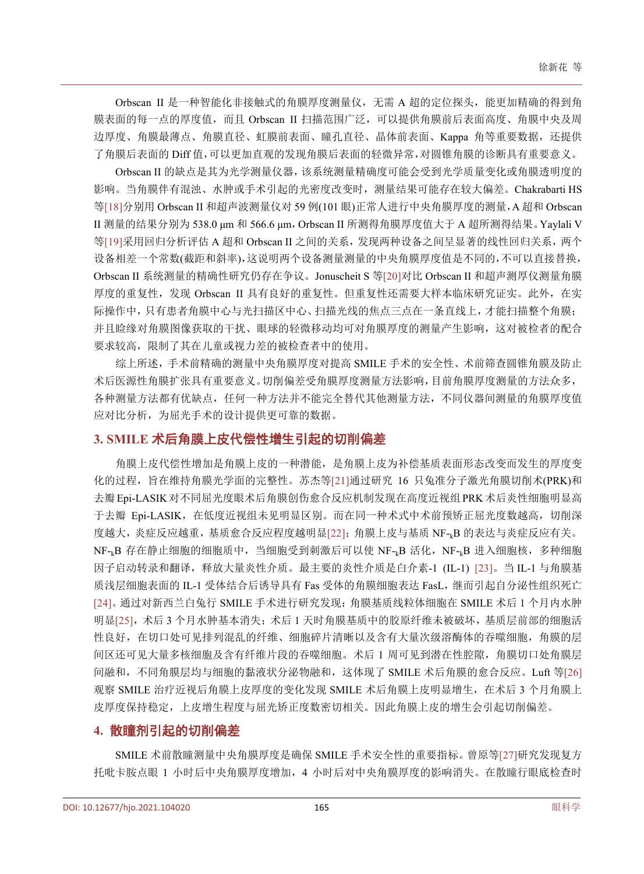Orbscan II 是一种智能化非接触式的角膜厚度测量仪,无需 A 超的定位探头, 能更加精确的得到角 膜表面的每一点的厚度值,而且 Orbscan II 扫描范围广泛,可以提供角膜前后表面高度、角膜中央及周 边厚度、角膜最薄点、角膜直径、虹膜前表面、瞳孔直径、晶体前表面、Kappa 角等重要数据,还提供 了角膜后表面的 Diff 值,可以更加直观的发现角膜后表面的轻微异常,对圆锥角膜的诊断具有重要意义。

Orbscan II 的缺点是其为光学测量仪器,该系统测量精确度可能会受到光学质量变化或角膜透明度的 影响。当角膜伴有混浊、水肿或手术引起的光密度改变时,测量结果可能存在较大偏差。Chakrabarti HS 等[\[18\]](#page-5-7)分别用 Orbscan II 和超声波测量仪对 59 例(101 眼)正常人进行中央角膜厚度的测量,A 超和 Orbscan II 测量的结果分别为 538.0 μm 和 566.6 μm,Orbscan II 所测得角膜厚度值大于 A 超所测得结果。Yaylali V 等[\[19\]](#page-5-8)采用回归分析评估 A 超和 Orbscan II 之间的关系,发现两种设备之间呈显著的线性回归关系,两个 设备相差一个常数(截距和斜率),这说明两个设备测量测量的中央角膜厚度值是不同的,不可以直接替换, Orbscan II 系统测量的精确性研究仍存在争议。Jonuscheit S 等[\[20\]](#page-5-9)对比 Orbscan II 和超声测厚仪测量角膜 厚度的重复性,发现 Orbscan II 具有良好的重复性。但重复性还需要大样本临床研究证实。此外,在实 际操作中,只有患者角膜中心与光扫描区中心、扫描光线的焦点三点在一条直线上,才能扫描整个角膜; 并且睑缘对角膜图像获取的干扰、眼球的轻微移动均可对角膜厚度的测量产生影响,这对被检者的配合 要求较高,限制了其在儿童或视力差的被检查者中的使用。

综上所述,手术前精确的测量中央角膜厚度对提高 SMILE 手术的安全性、术前筛查圆锥角膜及防止 术后医源性角膜扩张具有重要意义。切削偏差受角膜厚度测量方法影响,目前角膜厚度测量的方法众多, 各种测量方法都有优缺点,任何一种方法并不能完全替代其他测量方法,不同仪器间测量的角膜厚度值 应对比分析,为屈光手术的设计提供更可靠的数据。

## **3. SMILE** 术后角膜上皮代偿性增生引起的切削偏差

角膜上皮代偿性增加是角膜上皮的一种潜能,是角膜上皮为补偿基质表面形态改变而发生的厚度变 化的过程,旨在维持角膜光学面的完整性。苏杰等[\[21\]](#page-5-10)通过研究 16 只兔准分子激光角膜切削术(PRK)和 去瓣Epi-LASIK对不同屈光度眼术后角膜创伤愈合反应机制发现在高度近视组PRK术后炎性细胞明显高 于去瓣 Epi-LASIK, 在低度近视组未见明显区别。而在同一种术式中术前预矫正屈光度数越高, 切削深 度越大,炎症反应越重,基质愈合反应程度越明显[\[22\]](#page-5-11);角膜上皮与基质 NF-kB 的表达与炎症反应有关。 NF-kB 存在静止细胞的细胞质中, 当细胞受到刺激后可以使 NF-kB 活化, NF-kB 进入细胞核, 多种细胞 因子启动转录和翻译,释放大量炎性介质。最主要的炎性介质是白介素-1 (IL-1) [\[23\]](#page-5-12)。当 IL-1 与角膜基 质浅层细胞表面的 IL-1 受体结合后诱导具有 Fas 受体的角膜细胞表达 FasL,继而引起自分泌性组织死亡 [\[24\]](#page-5-13)。通过对新西兰白兔行 SMILE 手术进行研究发现:角膜基质线粒体细胞在 SMILE 术后 1 个月内水肿 明显[\[25\]](#page-5-14),术后 3 个月水肿基本消失;术后 1 天时角膜基质中的胶原纤维未被破坏,基质层前部的细胞活 性良好,在切口处可见排列混乱的纤维、细胞碎片清晰以及含有大量次级溶酶体的吞噬细胞,角膜的层 间区还可见大量多核细胞及含有纤维片段的吞噬细胞。术后 1 周可见到潜在性腔隙,角膜切口处角膜层 间融和,不同角膜层均与细胞的黏液状分泌物融和,这体现了 SMILE 术后角膜的愈合反应。Luft 等[\[26\]](#page-5-15) 观察 SMILE 治疗近视后角膜上皮厚度的变化发现 SMILE 术后角膜上皮明显增生, 在术后 3 个月角膜上 皮厚度保持稳定,上皮增生程度与屈光矫正度数密切相关。因此角膜上皮的增生会引起切削偏差。

## **4.** 散瞳剂引起的切削偏差

SMILE 术前散瞳测量中央角膜厚度是确保 SMILE 手术安全性的重要指标。曾原等[\[27\]](#page-5-16)研究发现复方 托吡卡胺点眼 1 小时后中央角膜厚度增加,4 小时后对中央角膜厚度的影响消失。在散瞳行眼底检查时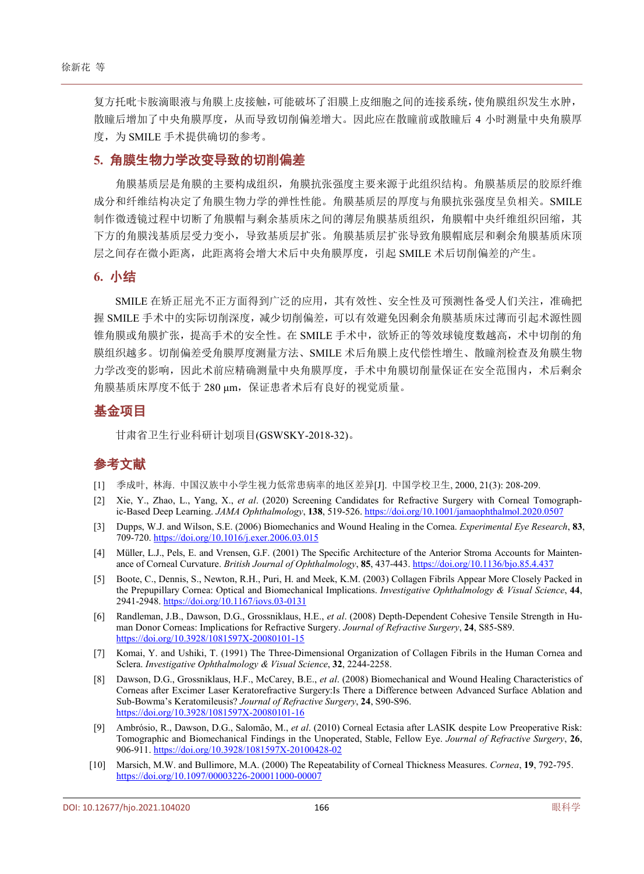复方托吡卡胺滴眼液与角膜上皮接触,可能破坏了泪膜上皮细胞之间的连接系统,使角膜组织发生水肿, 散瞳后增加了中央角膜厚度,从而导致切削偏差增大。因此应在散瞳前或散瞳后 4 小时测量中央角膜厚 度,为 SMILE 手术提供确切的参考。

#### **5.** 角膜生物力学改变导致的切削偏差

角膜基质层是角膜的主要构成组织,角膜抗张强度主要来源于此组织结构。角膜基质层的胶原纤维 成分和纤维结构决定了角膜生物力学的弹性性能。角膜基质层的厚度与角膜抗张强度呈负相关。SMILE 制作微透镜过程中切断了角膜帽与剩余基质床之间的薄层角膜基质组织,角膜帽中央纤维组织回缩,其 下方的角膜浅基质层受力变小,导致基质层扩张。角膜基质层扩张导致角膜帽底层和剩余角膜基质床顶 层之间存在微小距离,此距离将会增大术后中央角膜厚度,引起 SMILE 术后切削偏差的产生。

#### **6.** 小结

SMILE 在矫正屈光不正方面得到广泛的应用,其有效性、安全性及可预测性备受人们关注,准确把 握 SMILE 手术中的实际切削深度,减少切削偏差,可以有效避免因剩余角膜基质床过薄而引起术源性圆 锥角膜或角膜扩张,提高手术的安全性。在 SMILE 手术中,欲矫正的等效球镜度数越高,术中切削的角 膜组织越多。切削偏差受角膜厚度测量方法、SMILE 术后角膜上皮代偿性增生、散瞳剂检查及角膜生物 力学改变的影响,因此术前应精确测量中央角膜厚度,手术中角膜切削量保证在安全范围内,术后剩余 角膜基质床厚度不低于 280 μm,保证患者术后有良好的视觉质量。

## 基金项目

甘肃省卫生行业科研计划项目(GSWSKY-2018-32)。

# 参考文献

- <span id="page-4-0"></span>[1] 季成叶, 林海. 中国汉族中小学生视力低常患病率的地区差异[J]. 中国学校卫生, 2000, 21(3): 208-209.
- <span id="page-4-1"></span>[2] Xie, Y., Zhao, L., Yang, X., *et al*. (2020) Screening Candidates for Refractive Surgery with Corneal Tomographic-Based Deep Learning. *JAMA Ophthalmology*, **138**, 519-526[. https://doi.org/10.1001/jamaophthalmol.2020.0507](https://doi.org/10.1001/jamaophthalmol.2020.0507)
- <span id="page-4-2"></span>[3] Dupps, W.J. and Wilson, S.E. (2006) Biomechanics and Wound Healing in the Cornea. *Experimental Eye Research*, **83**, 709-720[. https://doi.org/10.1016/j.exer.2006.03.015](https://doi.org/10.1016/j.exer.2006.03.015)
- <span id="page-4-3"></span>[4] Müller, L.J., Pels, E. and Vrensen, G.F. (2001) The Specific Architecture of the Anterior Stroma Accounts for Maintenance of Corneal Curvature. *British Journal of Ophthalmology*, **85**, 437-443.<https://doi.org/10.1136/bjo.85.4.437>
- <span id="page-4-4"></span>[5] Boote, C., Dennis, S., Newton, R.H., Puri, H. and Meek, K.M. (2003) Collagen Fibrils Appear More Closely Packed in the Prepupillary Cornea: Optical and Biomechanical Implications. *Investigative Ophthalmology & Visual Science*, **44**, 2941-2948[. https://doi.org/10.1167/iovs.03-0131](https://doi.org/10.1167/iovs.03-0131)
- <span id="page-4-5"></span>[6] Randleman, J.B., Dawson, D.G., Grossniklaus, H.E., *et al*. (2008) Depth-Dependent Cohesive Tensile Strength in Human Donor Corneas: Implications for Refractive Surgery. *Journal of Refractive Surgery*, **24**, S85-S89. <https://doi.org/10.3928/1081597X-20080101-15>
- <span id="page-4-6"></span>[7] Komai, Y. and Ushiki, T. (1991) The Three-Dimensional Organization of Collagen Fibrils in the Human Cornea and Sclera. *Investigative Ophthalmology & Visual Science*, **32**, 2244-2258.
- <span id="page-4-7"></span>[8] Dawson, D.G., Grossniklaus, H.F., McCarey, B.E., *et al*. (2008) Biomechanical and Wound Healing Characteristics of Corneas after Excimer Laser Keratorefractive Surgery:Is There a Difference between Advanced Surface Ablation and Sub-Bowma's Keratomileusis? *Journal of Refractive Surgery*, **24**, S90-S96. <https://doi.org/10.3928/1081597X-20080101-16>
- <span id="page-4-8"></span>[9] Ambrósio, R., Dawson, D.G., Salomão, M., *et al*. (2010) Corneal Ectasia after LASIK despite Low Preoperative Risk: Tomographic and Biomechanical Findings in the Unoperated, Stable, Fellow Eye. *Journal of Refractive Surgery*, **26**, 906-911. <https://doi.org/10.3928/1081597X-20100428-02>
- <span id="page-4-9"></span>[10] Marsich, M.W. and Bullimore, M.A. (2000) The Repeatability of Corneal Thickness Measures. *Cornea*, **19**, 792-795. <https://doi.org/10.1097/00003226-200011000-00007>